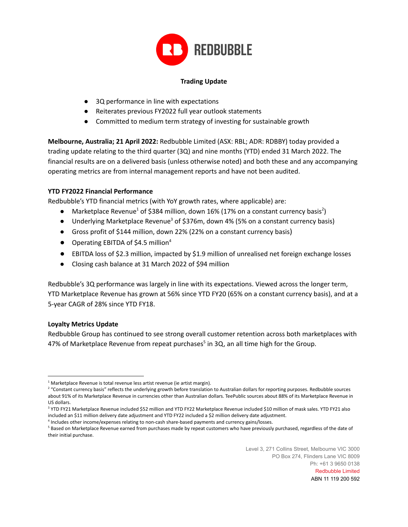

### **Trading Update**

- 3Q performance in line with expectations
- Reiterates previous FY2022 full year outlook statements
- Committed to medium term strategy of investing for sustainable growth

**Melbourne, Australia; 21 April 2022:** Redbubble Limited (ASX: RBL; ADR: RDBBY) today provided a trading update relating to the third quarter (3Q) and nine months (YTD) ended 31 March 2022. The financial results are on a delivered basis (unless otherwise noted) and both these and any accompanying operating metrics are from internal management reports and have not been audited.

### **YTD FY2022 Financial Performance**

Redbubble's YTD financial metrics (with YoY growth rates, where applicable) are:

- Marketplace Revenue<sup>1</sup> of \$384 million, down 16% (17% on a constant currency basis<sup>2</sup>)
- Underlying Marketplace Revenue<sup>3</sup> of \$376m, down 4% (5% on a constant currency basis)
- Gross profit of \$144 million, down 22% (22% on a constant currency basis)
- Operating EBITDA of \$4.5 million<sup>4</sup>
- EBITDA loss of \$2.3 million, impacted by \$1.9 million of unrealised net foreign exchange losses
- Closing cash balance at 31 March 2022 of \$94 million

Redbubble's 3Q performance was largely in line with its expectations. Viewed across the longer term, YTD Marketplace Revenue has grown at 56% since YTD FY20 (65% on a constant currency basis), and at a 5-year CAGR of 28% since YTD FY18.

### **Loyalty Metrics Update**

Redbubble Group has continued to see strong overall customer retention across both marketplaces with 47% of Marketplace Revenue from repeat purchases<sup>5</sup> in 3Q, an all time high for the Group.

Level 3, 271 Collins Street, Melbourne VIC 3000 PO Box 274, Flinders Lane VIC 8009 Ph: +61 3 9650 0138 Redbubble Limited

ABN 11 119 200 592

 $1$  Marketplace Revenue is total revenue less artist revenue (ie artist margin).

<sup>&</sup>lt;sup>2</sup> "Constant currency basis" reflects the underlying growth before translation to Australian dollars for reporting purposes. Redbubble sources about 91% of its Marketplace Revenue in currencies other than Australian dollars. TeePublic sources about 88% of its Marketplace Revenue in US dollars.

<sup>&</sup>lt;sup>3</sup> YTD FY21 Marketplace Revenue included \$52 million and YTD FY22 Marketplace Revenue included \$10 million of mask sales. YTD FY21 also included an \$11 million delivery date adjustment and YTD FY22 included a \$2 million delivery date adjustment.

<sup>4</sup> Includes other income/expenses relating to non-cash share-based payments and currency gains/losses.

<sup>&</sup>lt;sup>5</sup> Based on Marketplace Revenue earned from purchases made by repeat customers who have previously purchased, regardless of the date of their initial purchase.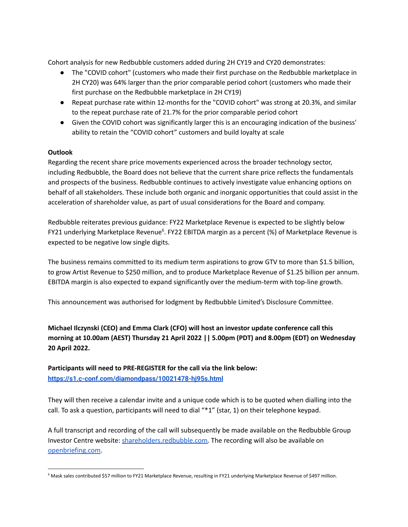Cohort analysis for new Redbubble customers added during 2H CY19 and CY20 demonstrates:

- The "COVID cohort" (customers who made their first purchase on the Redbubble marketplace in 2H CY20) was 64% larger than the prior comparable period cohort (customers who made their first purchase on the Redbubble marketplace in 2H CY19)
- Repeat purchase rate within 12-months for the "COVID cohort" was strong at 20.3%, and similar to the repeat purchase rate of 21.7% for the prior comparable period cohort
- Given the COVID cohort was significantly larger this is an encouraging indication of the business' ability to retain the "COVID cohort" customers and build loyalty at scale

## **Outlook**

Regarding the recent share price movements experienced across the broader technology sector, including Redbubble, the Board does not believe that the current share price reflects the fundamentals and prospects of the business. Redbubble continues to actively investigate value enhancing options on behalf of all stakeholders. These include both organic and inorganic opportunities that could assist in the acceleration of shareholder value, as part of usual considerations for the Board and company.

Redbubble reiterates previous guidance: FY22 Marketplace Revenue is expected to be slightly below FY21 underlying Marketplace Revenue<sup>6</sup>. FY22 EBITDA margin as a percent (%) of Marketplace Revenue is expected to be negative low single digits.

The business remains committed to its medium term aspirations to grow GTV to more than \$1.5 billion, to grow Artist Revenue to \$250 million, and to produce Marketplace Revenue of \$1.25 billion per annum. EBITDA margin is also expected to expand significantly over the medium-term with top-line growth.

This announcement was authorised for lodgment by Redbubble Limited's Disclosure Committee.

**Michael Ilczynski (CEO) and Emma Clark (CFO) will host an investor update conference call this morning at 10.00am (AEST) Thursday 21 April 2022 || 5.00pm (PDT) and 8.00pm (EDT) on Wednesday 20 April 2022.**

**Participants will need to PRE-REGISTER for the call via the link below: <https://s1.c-conf.com/diamondpass/10021478-hj95s.html>**

They will then receive a calendar invite and a unique code which is to be quoted when dialling into the call. To ask a question, participants will need to dial "\*1" (star, 1) on their telephone keypad.

A full transcript and recording of the call will subsequently be made available on the Redbubble Group Investor Centre website: [shareholders.redbubble.com.](https://shareholders.redbubble.com/) The recording will also be available on [openbriefing.com](http://www.openbriefing.com/).

<sup>&</sup>lt;sup>6</sup> Mask sales contributed \$57 million to FY21 Marketplace Revenue, resulting in FY21 underlying Marketplace Revenue of \$497 million.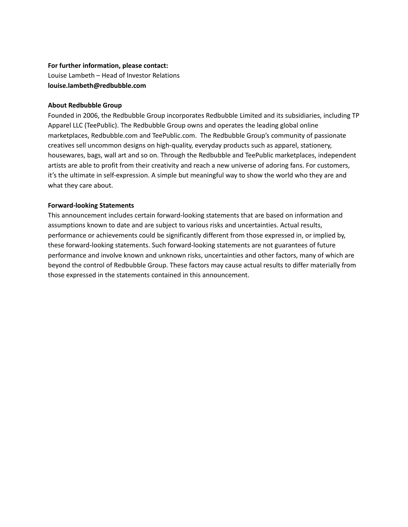### **For further information, please contact:**

Louise Lambeth – Head of Investor Relations **louise.lambeth@redbubble.com**

### **About Redbubble Group**

Founded in 2006, the Redbubble Group incorporates Redbubble Limited and its subsidiaries, including TP Apparel LLC (TeePublic). The Redbubble Group owns and operates the leading global online marketplaces, Redbubble.com and TeePublic.com. The Redbubble Group's community of passionate creatives sell uncommon designs on high-quality, everyday products such as apparel, stationery, housewares, bags, wall art and so on. Through the Redbubble and TeePublic marketplaces, independent artists are able to profit from their creativity and reach a new universe of adoring fans. For customers, it's the ultimate in self-expression. A simple but meaningful way to show the world who they are and what they care about.

### **Forward-looking Statements**

This announcement includes certain forward-looking statements that are based on information and assumptions known to date and are subject to various risks and uncertainties. Actual results, performance or achievements could be significantly different from those expressed in, or implied by, these forward-looking statements. Such forward-looking statements are not guarantees of future performance and involve known and unknown risks, uncertainties and other factors, many of which are beyond the control of Redbubble Group. These factors may cause actual results to differ materially from those expressed in the statements contained in this announcement.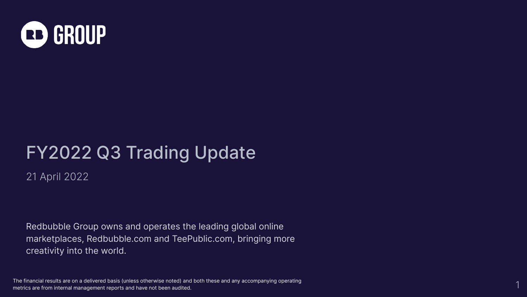

# FY2022 Q3 Trading Update

21 April 2022

Redbubble Group owns and operates the leading global online marketplaces, Redbubble.com and TeePublic.com, bringing more creativity into the world.

The financial results are on a delivered basis (unless otherwise noted) and both these and any accompanying operating metrics are from internal management reports and have not been audited.

1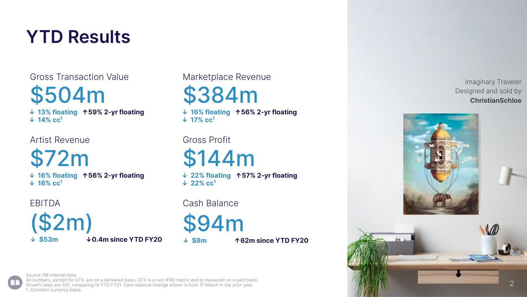# **YTD Results**

Gross Transaction Value Marketplace Revenue \$504m

**↓ 13% floating ↑59% 2-yr floating ↓ 14% cc<sup>1</sup>**

Artist Revenue Gross Profit

\$72m **↓ 16% floating ↑56% 2-yr floating ↓ 16% cc<sup>1</sup>**

(\$2m) **↓ \$53m ↓0.4m since YTD FY20** \$384m

**↓ 16% floating ↑56% 2-yr floating ↓ 17% cc<sup>1</sup>**

\$144m

**↓ 22% floating ↑57% 2-yr floating ↓ 22% cc<sup>1</sup>**

EBITDA Cash Balance

\$94m

**↓ \$8m ↑62m since YTD FY20** 

Imaginary Traveler Designed and sold by **ChristianSchloe**





Source: RB internal data.

All numbers, except for GTV, are on a delivered basis. GTV is a non-IFRS metric and is measured on a paid basis. Growth rates are YoY, comparing to YTD FY21. Cash balance change shown is from 31 March in the prior year. 1. Constant currency basis.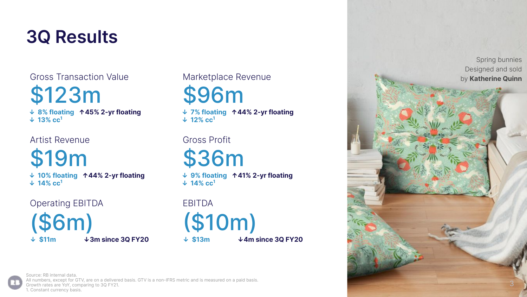## **3Q Results**

\$123m

**↓ 8% floating ↑45% 2-yr floating ↓ 13% cc<sup>1</sup>**

Artist Revenue Gross Profit

\$19m

**↓ 10% floating ↑44% 2-yr floating ↓ 14% cc<sup>1</sup>**

Operating EBITDA **EBITDA** 

(\$6m) **↓ \$11m ↓3m since 3Q FY20** \$96m

**↓ 7% floating ↑44% 2-yr floating ↓ 12% cc<sup>1</sup>**

\$36m

**↓ 9% floating ↑41% 2-yr floating ↓ 14% cc<sup>1</sup>**



**↓ \$13m ↓4m since 3Q FY20**

Spring bunnies Designed and sold



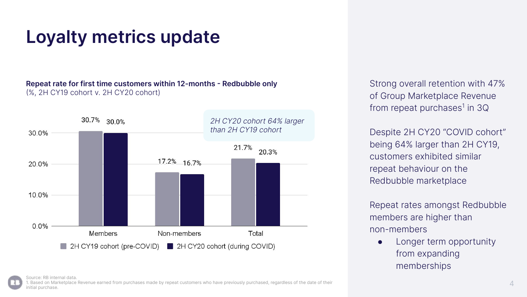# **Loyalty metrics update**

### **Repeat rate for first time customers within 12-months - Redbubble only** (%, 2H CY19 cohort v. 2H CY20 cohort)



Strong overall retention with 47% of Group Marketplace Revenue from repeat purchases<sup>1</sup> in 3Q

Despite 2H CY20 "COVID cohort" being 64% larger than 2H CY19, customers exhibited similar repeat behaviour on the Redbubble marketplace

Repeat rates amongst Redbubble members are higher than non-members

• Longer term opportunity from expanding memberships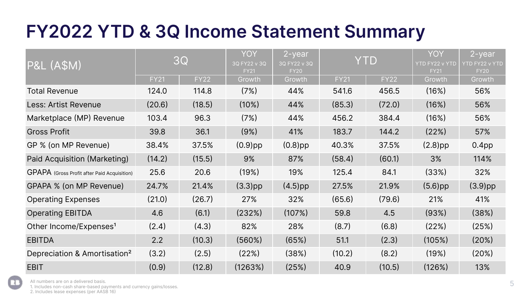# **FY2022 YTD & 3Q Income Statement Summary**

| <b>P&amp;L (A\$M)</b>                       | 3Q          |             | YOY<br>3Q FY22 v 3Q<br><b>FY21</b> | 2-year<br>3Q FY22 v 3Q<br><b>FY20</b> | <b>YTD</b>  |             | YOY<br><b>YTD FY22 v YTD</b><br><b>FY21</b> | 2-year<br>YTD FY22 v YTD<br><b>FY20</b> |
|---------------------------------------------|-------------|-------------|------------------------------------|---------------------------------------|-------------|-------------|---------------------------------------------|-----------------------------------------|
|                                             | <b>FY21</b> | <b>FY22</b> | Growth                             | Growth                                | <b>FY21</b> | <b>FY22</b> | Growth                                      | Growth                                  |
| <b>Total Revenue</b>                        | 124.0       | 114.8       | (7%)                               | 44%                                   | 541.6       | 456.5       | (16%)                                       | 56%                                     |
| Less: Artist Revenue                        | (20.6)      | (18.5)      | $(10\%)$                           | 44%                                   | (85.3)      | (72.0)      | (16%)                                       | 56%                                     |
| Marketplace (MP) Revenue                    | 103.4       | 96.3        | (7%)                               | 44%                                   | 456.2       | 384.4       | (16%)                                       | 56%                                     |
| <b>Gross Profit</b>                         | 39.8        | 36.1        | (9%)                               | 41%                                   | 183.7       | 144.2       | (22%)                                       | 57%                                     |
| GP % (on MP Revenue)                        | 38.4%       | 37.5%       | $(0.9)$ pp                         | $(0.8)$ pp                            | 40.3%       | 37.5%       | $(2.8)$ pp                                  | 0.4 <sub>pp</sub>                       |
| Paid Acquisition (Marketing)                | (14.2)      | (15.5)      | 9%                                 | 87%                                   | (58.4)      | (60.1)      | 3%                                          | 114%                                    |
| GPAPA (Gross Profit after Paid Acquisition) | 25.6        | 20.6        | (19%)                              | 19%                                   | 125.4       | 84.1        | (33%)                                       | 32%                                     |
| GPAPA % (on MP Revenue)                     | 24.7%       | 21.4%       | $(3.3)$ pp                         | $(4.5)$ pp                            | 27.5%       | 21.9%       | $(5.6)$ pp                                  | $(3.9)$ pp                              |
| <b>Operating Expenses</b>                   | (21.0)      | (26.7)      | 27%                                | 32%                                   | (65.6)      | (79.6)      | 21%                                         | 41%                                     |
| <b>Operating EBITDA</b>                     | 4.6         | (6.1)       | (232%)                             | (107%)                                | 59.8        | 4.5         | (93%)                                       | (38%)                                   |
| Other Income/Expenses <sup>1</sup>          | (2.4)       | (4.3)       | 82%                                | 28%                                   | (8.7)       | (6.8)       | (22%)                                       | (25%)                                   |
| <b>EBITDA</b>                               | 2.2         | (10.3)      | (560%)                             | (65%)                                 | 51.1        | (2.3)       | (105%)                                      | (20%)                                   |
| Depreciation & Amortisation <sup>2</sup>    | (3.2)       | (2.5)       | (22%)                              | (38%)                                 | (10.2)      | (8.2)       | (19%)                                       | (20%)                                   |
| <b>EBIT</b>                                 | (0.9)       | (12.8)      | (1263%)                            | (25%)                                 | 40.9        | (10.5)      | (126%)                                      | 13%                                     |

All numbers are on a delivered basis.

1. Includes non-cash share-based payments and currency gains/losses.